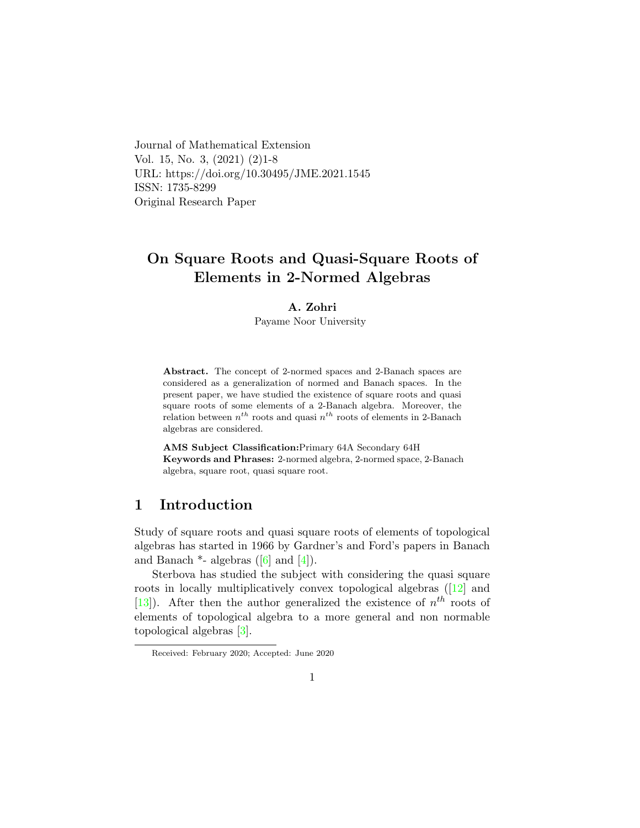Journal of Mathematical Extension Vol. 15, No. 3, (2021) (2)1-8 URL: https://doi.org/10.30495/JME.2021.1545 ISSN: 1735-8299 Original Research Paper

# On Square Roots and Quasi-Square Roots of Elements in 2-Normed Algebras

### A. Zohri

Payame Noor University

Abstract. The concept of 2-normed spaces and 2-Banach spaces are considered as a generalization of normed and Banach spaces. In the present paper, we have studied the existence of square roots and quasi square roots of some elements of a 2-Banach algebra. Moreover, the relation between  $n^{th}$  roots and quasi  $n^{th}$  roots of elements in 2-Banach algebras are considered.

AMS Subject Classification:Primary 64A Secondary 64H Keywords and Phrases: 2-normed algebra, 2-normed space, 2-Banach algebra, square root, quasi square root.

### 1 Introduction

Study of square roots and quasi square roots of elements of topological algebras has started in 1966 by Gardner's and Ford's papers in Banach and Banach  $*$ - algebras ([\[6\]](#page-7-0) and [\[4\]](#page-6-0)).

Sterbova has studied the subject with considering the quasi square roots in locally multiplicatively convex topological algebras ([\[12\]](#page-7-1) and [\[13\]](#page-7-2)). After then the author generalized the existence of  $n^{th}$  roots of elements of topological algebra to a more general and non normable topological algebras [\[3\]](#page-6-1).

Received: February 2020; Accepted: June 2020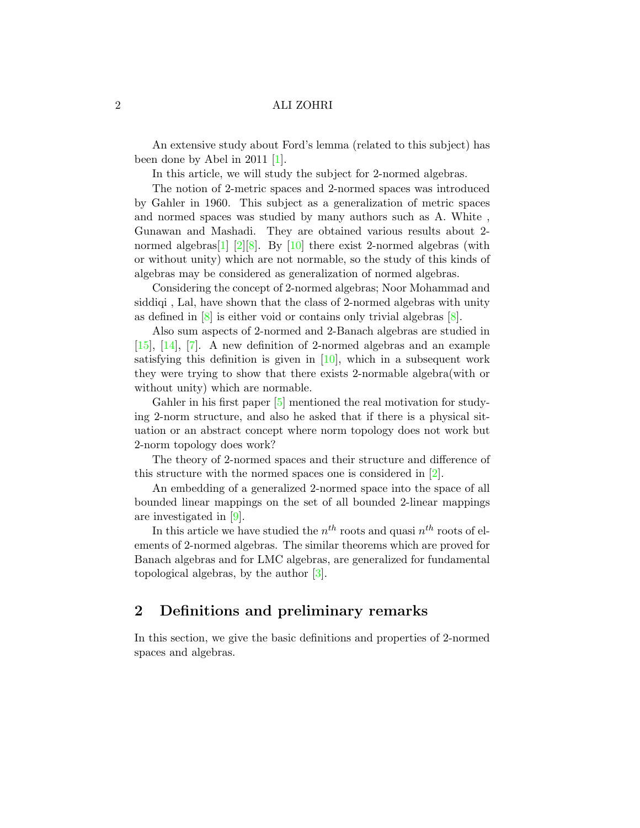An extensive study about Ford's lemma (related to this subject) has been done by Abel in 2011 [\[1\]](#page-6-2).

In this article, we will study the subject for 2-normed algebras.

The notion of 2-metric spaces and 2-normed spaces was introduced by Gahler in 1960. This subject as a generalization of metric spaces and normed spaces was studied by many authors such as A. White , Gunawan and Mashadi. They are obtained various results about 2- normed algebras<sup>[\[1\]](#page-6-2)</sup> [\[2\]](#page-6-3)[\[8\]](#page-7-3). By [\[10\]](#page-7-4) there exist 2-normed algebras (with or without unity) which are not normable, so the study of this kinds of algebras may be considered as generalization of normed algebras.

Considering the concept of 2-normed algebras; Noor Mohammad and siddiqi , Lal, have shown that the class of 2-normed algebras with unity as defined in  $[8]$  is either void or contains only trivial algebras  $[8]$ .

Also sum aspects of 2-normed and 2-Banach algebras are studied in [\[15\]](#page-7-5), [\[14\]](#page-7-6), [\[7\]](#page-7-7). A new definition of 2-normed algebras and an example satisfying this definition is given in  $[10]$ , which in a subsequent work they were trying to show that there exists 2-normable algebra(with or without unity) which are normable.

Gahler in his first paper [\[5\]](#page-6-4) mentioned the real motivation for studying 2-norm structure, and also he asked that if there is a physical situation or an abstract concept where norm topology does not work but 2-norm topology does work?

The theory of 2-normed spaces and their structure and difference of this structure with the normed spaces one is considered in [\[2\]](#page-6-3).

An embedding of a generalized 2-normed space into the space of all bounded linear mappings on the set of all bounded 2-linear mappings are investigated in [\[9\]](#page-7-8).

In this article we have studied the  $n^{th}$  roots and quasi  $n^{th}$  roots of elements of 2-normed algebras. The similar theorems which are proved for Banach algebras and for LMC algebras, are generalized for fundamental topological algebras, by the author [\[3\]](#page-6-1).

### 2 Definitions and preliminary remarks

In this section, we give the basic definitions and properties of 2-normed spaces and algebras.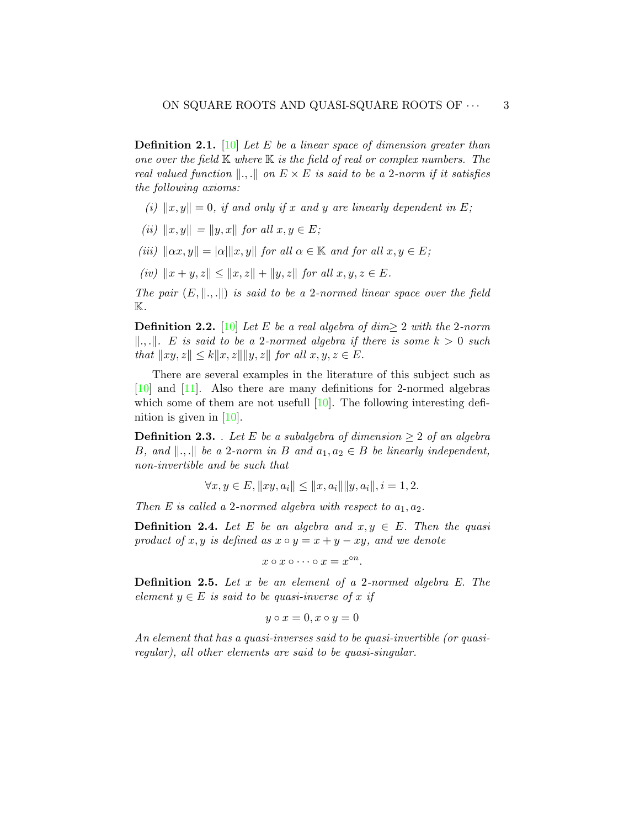**Definition 2.1.** [\[10\]](#page-7-4) Let E be a linear space of dimension greater than one over the field  $K$  where  $K$  is the field of real or complex numbers. The real valued function  $\Vert ., \Vert$  on  $E \times E$  is said to be a 2-norm if it satisfies the following axioms:

- (i)  $||x, y|| = 0$ , if and only if x and y are linearly dependent in E;
- (ii)  $||x, y|| = ||y, x||$  for all  $x, y \in E$ ;
- (iii)  $\|\alpha x, y\| = |\alpha| \|x, y\|$  for all  $\alpha \in \mathbb{K}$  and for all  $x, y \in E$ ;
- (iv)  $||x + y, z|| \le ||x, z|| + ||y, z||$  for all  $x, y, z \in E$ .

The pair  $(E, \|\cdot\|)$  is said to be a 2-normed linear space over the field  $\mathbb{K}.$ 

**Definition 2.2.** [\[10\]](#page-7-4) Let E be a real algebra of dim> 2 with the 2-norm  $\|\ldots\|$ . E is said to be a 2-normed algebra if there is some  $k > 0$  such that  $||xy, z|| \le k||x, z|| ||y, z||$  for all  $x, y, z \in E$ .

There are several examples in the literature of this subject such as [\[10\]](#page-7-4) and [\[11\]](#page-7-9). Also there are many definitions for 2-normed algebras which some of them are not usefull  $[10]$ . The following interesting definition is given in  $[10]$ .

**Definition 2.3.** . Let E be a subalgebra of dimension  $\geq 2$  of an algebra B, and  $\Vert ., \Vert$  be a 2-norm in B and  $a_1, a_2 \in B$  be linearly independent, non-invertible and be such that

$$
\forall x, y \in E, ||xy, a_i|| \le ||x, a_i|| ||y, a_i||, i = 1, 2.
$$

Then E is called a 2-normed algebra with respect to  $a_1, a_2$ .

**Definition 2.4.** Let E be an algebra and  $x, y \in E$ . Then the quasi product of x, y is defined as  $x \circ y = x + y - xy$ , and we denote

$$
x \circ x \circ \cdots \circ x = x^{\circ n}.
$$

**Definition 2.5.** Let  $x$  be an element of a 2-normed algebra  $E$ . The element  $y \in E$  is said to be quasi-inverse of x if

$$
y \circ x = 0, x \circ y = 0
$$

An element that has a quasi-inverses said to be quasi-invertible (or quasiregular), all other elements are said to be quasi-singular.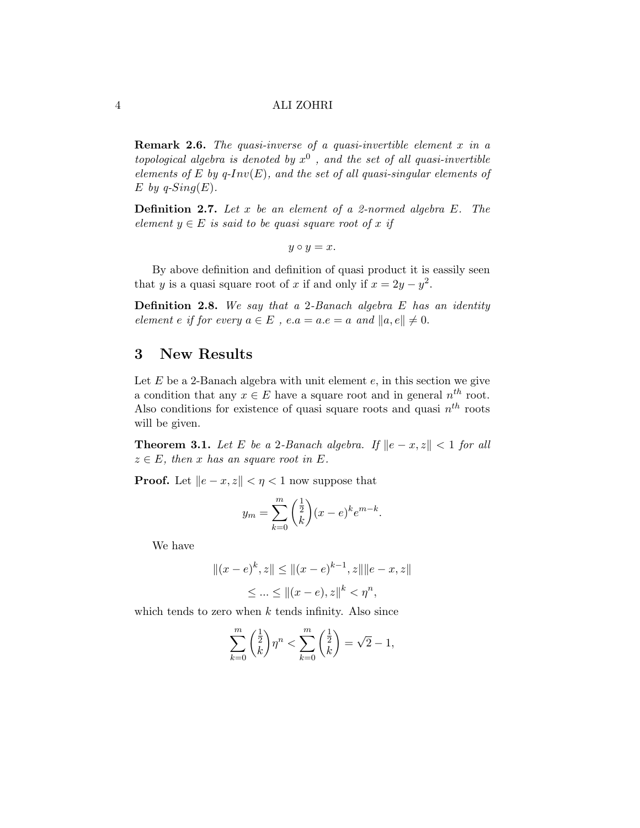**Remark 2.6.** The quasi-inverse of a quasi-invertible element  $x$  in a topological algebra is denoted by  $x^0$  , and the set of all quasi-invertible elements of E by q-Inv(E), and the set of all quasi-singular elements of E by  $q\text{-}Sing(E)$ .

**Definition 2.7.** Let  $x$  be an element of a 2-normed algebra  $E$ . The element  $y \in E$  is said to be quasi square root of x if

 $y \circ y = x.$ 

By above definition and definition of quasi product it is eassily seen that y is a quasi square root of x if and only if  $x = 2y - y^2$ .

**Definition 2.8.** We say that a 2-Banach algebra  $E$  has an identity element e if for every  $a \in E$ ,  $e.a = a.e = a$  and  $||a, e|| \neq 0$ .

### 3 New Results

Let  $E$  be a 2-Banach algebra with unit element  $e$ , in this section we give a condition that any  $x \in E$  have a square root and in general  $n^{th}$  root. Also conditions for existence of quasi square roots and quasi  $n^{th}$  roots will be given.

**Theorem 3.1.** Let E be a 2-Banach algebra. If  $\|e - x, z\| < 1$  for all  $z \in E$ , then x has an square root in E.

**Proof.** Let  $\|e - x, z\| < \eta < 1$  now suppose that

$$
y_m = \sum_{k=0}^{m} \binom{\frac{1}{2}}{k} (x - e)^k e^{m-k}.
$$

We have

$$
||(x - e)^k, z|| \le ||(x - e)^{k-1}, z|| ||e - x, z||
$$
  

$$
\le ... \le ||(x - e), z||^k < \eta^n,
$$

which tends to zero when  $k$  tends infinity. Also since

$$
\sum_{k=0}^{m} \binom{\frac{1}{2}}{k} \eta^{n} < \sum_{k=0}^{m} \binom{\frac{1}{2}}{k} = \sqrt{2} - 1,
$$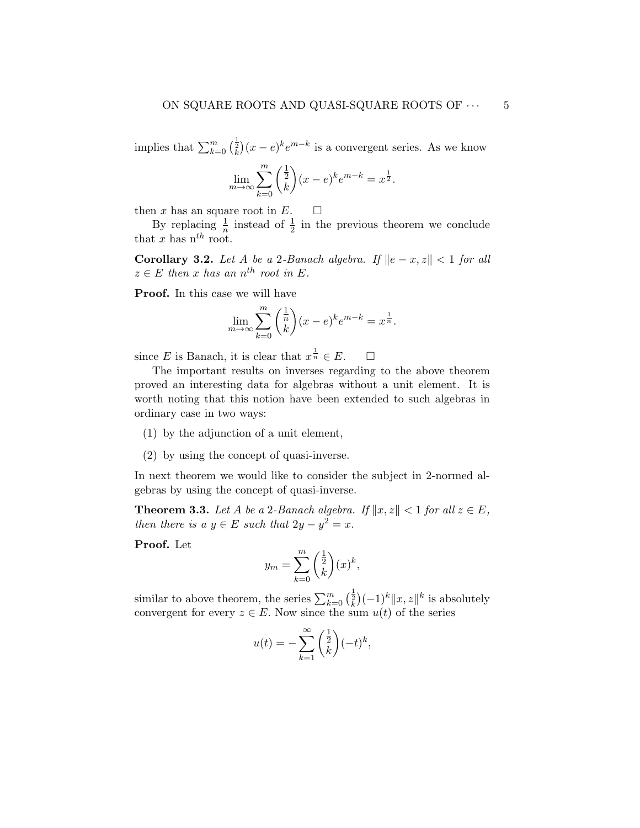implies that  $\sum_{k=0}^{m} \binom{\frac{1}{2}}{k} (x-e)^k e^{m-k}$  is a convergent series. As we know

$$
\lim_{m \to \infty} \sum_{k=0}^{m} \binom{\frac{1}{2}}{k} (x - e)^k e^{m-k} = x^{\frac{1}{2}}.
$$

then x has an square root in E.  $\square$ 

By replacing  $\frac{1}{n}$  instead of  $\frac{1}{2}$  in the previous theorem we conclude that x has  $n^{th}$  root.

Corollary 3.2. Let A be a 2-Banach algebra. If  $||e - x, z|| < 1$  for all  $z \in E$  then x has an  $n^{th}$  root in E.

Proof. In this case we will have

$$
\lim_{m \to \infty} \sum_{k=0}^{m} \binom{\frac{1}{n}}{k} (x - e)^k e^{m-k} = x^{\frac{1}{n}}.
$$

since E is Banach, it is clear that  $x^{\frac{1}{n}} \in E$ .  $\Box$ 

The important results on inverses regarding to the above theorem proved an interesting data for algebras without a unit element. It is worth noting that this notion have been extended to such algebras in ordinary case in two ways:

- (1) by the adjunction of a unit element,
- (2) by using the concept of quasi-inverse.

In next theorem we would like to consider the subject in 2-normed algebras by using the concept of quasi-inverse.

**Theorem 3.3.** Let A be a 2-Banach algebra. If  $||x, z|| < 1$  for all  $z \in E$ , then there is a  $y \in E$  such that  $2y - y^2 = x$ .

Proof. Let

$$
y_m = \sum_{k=0}^m \binom{\frac{1}{2}}{k} (x)^k,
$$

similar to above theorem, the series  $\sum_{k=0}^{m} \left(\frac{1}{k}\right)(-1)^k ||x, z||^k$  is absolutely convergent for every  $z \in E$ . Now since the sum  $u(t)$  of the series

$$
u(t) = -\sum_{k=1}^{\infty} \binom{\frac{1}{2}}{k} (-t)^k,
$$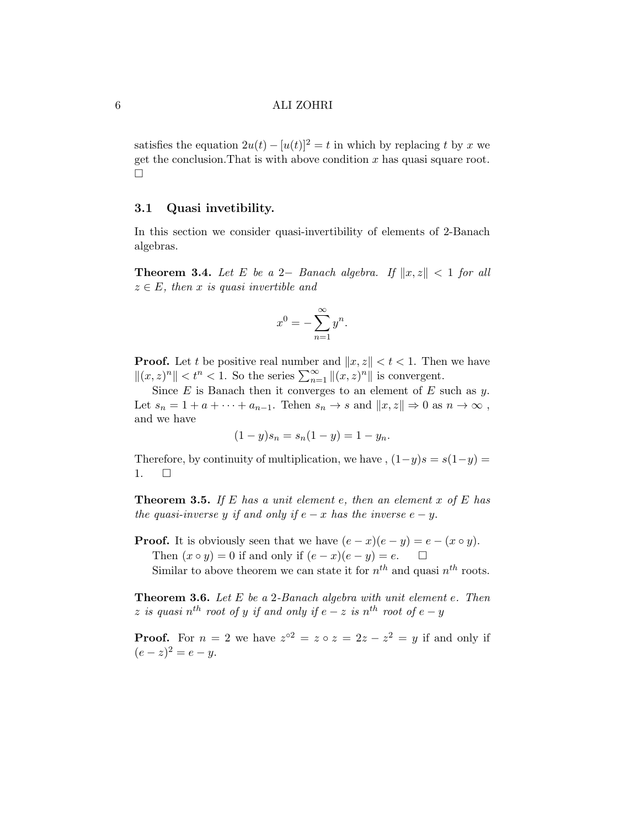satisfies the equation  $2u(t) - [u(t)]^2 = t$  in which by replacing t by x we get the conclusion. That is with above condition  $x$  has quasi square root.  $\Box$ 

### 3.1 Quasi invetibility.

In this section we consider quasi-invertibility of elements of 2-Banach algebras.

**Theorem 3.4.** Let E be a 2– Banach algebra. If  $||x, z|| < 1$  for all  $z \in E$ , then x is quasi invertible and

$$
x^0 = -\sum_{n=1}^{\infty} y^n.
$$

**Proof.** Let t be positive real number and  $||x, z|| < t < 1$ . Then we have  $||(x, z)^n|| < t^n < 1$ . So the series  $\sum_{n=1}^{\infty} ||(x, z)^n||$  is convergent.

Since  $E$  is Banach then it converges to an element of  $E$  such as  $y$ . Let  $s_n = 1 + a + \cdots + a_{n-1}$ . Tehen  $s_n \to s$  and  $||x, z|| \to 0$  as  $n \to \infty$ , and we have

$$
(1 - y)s_n = s_n(1 - y) = 1 - y_n.
$$

Therefore, by continuity of multiplication, we have ,  $(1-y)s = s(1-y)$  =  $1. \square$ 

**Theorem 3.5.** If E has a unit element e, then an element x of E has the quasi-inverse y if and only if  $e - x$  has the inverse  $e - y$ .

**Proof.** It is obviously seen that we have  $(e - x)(e - y) = e - (x \circ y)$ . Then  $(x \circ y) = 0$  if and only if  $(e - x)(e - y) = e$ .  $\Box$ Similar to above theorem we can state it for  $n^{th}$  and quasi  $n^{th}$  roots.

**Theorem 3.6.** Let  $E$  be a 2-Banach algebra with unit element  $e$ . Then  $z$  is quasi  $n^{th}$  root of y if and only if  $e-z$  is  $n^{th}$  root of  $e-y$ 

**Proof.** For  $n = 2$  we have  $z^{\circ 2} = z \circ z = 2z - z^2 = y$  if and only if  $(e - z)^2 = e - y.$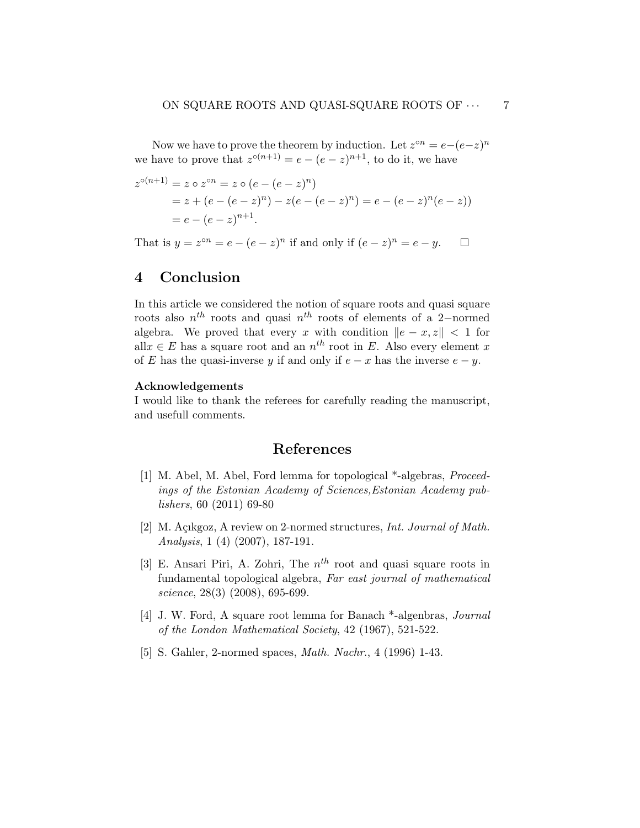Now we have to prove the theorem by induction. Let  $z^{\circ n} = e - (e - z)^n$ we have to prove that  $z^{\circ(n+1)} = e - (e - z)^{n+1}$ , to do it, we have

$$
z^{\circ(n+1)} = z \circ z^{\circ n} = z \circ (e - (e - z)^n)
$$
  
= z + (e - (e - z)^n) - z(e - (e - z)^n) = e - (e - z)^n (e - z))  
= e - (e - z)^{n+1}.

That is  $y = z^{\circ n} = e - (e - z)^n$  if and only if  $(e - z)^n = e - y$ .  $\Box$ 

## 4 Conclusion

In this article we considered the notion of square roots and quasi square roots also  $n^{th}$  roots and quasi  $n^{th}$  roots of elements of a 2-normed algebra. We proved that every x with condition  $||e - x, z|| < 1$  for all $x \in E$  has a square root and an  $n^{th}$  root in E. Also every element x of E has the quasi-inverse y if and only if  $e - x$  has the inverse  $e - y$ .

#### Acknowledgements

I would like to thank the referees for carefully reading the manuscript, and usefull comments.

# References

- <span id="page-6-2"></span>[1] M. Abel, M. Abel, Ford lemma for topological \*-algebras, *Proceed*ings of the Estonian Academy of Sciences,Estonian Academy publishers, 60 (2011) 69-80
- <span id="page-6-3"></span>[2] M. Açıkgoz, A review on 2-normed structures, *Int. Journal of Math.* Analysis, 1 (4) (2007), 187-191.
- <span id="page-6-1"></span>[3] E. Ansari Piri, A. Zohri, The  $n^{th}$  root and quasi square roots in fundamental topological algebra, Far east journal of mathematical science, 28(3) (2008), 695-699.
- <span id="page-6-0"></span>[4] J. W. Ford, A square root lemma for Banach \*-algenbras, Journal of the London Mathematical Society, 42 (1967), 521-522.
- <span id="page-6-4"></span>[5] S. Gahler, 2-normed spaces, Math. Nachr., 4 (1996) 1-43.